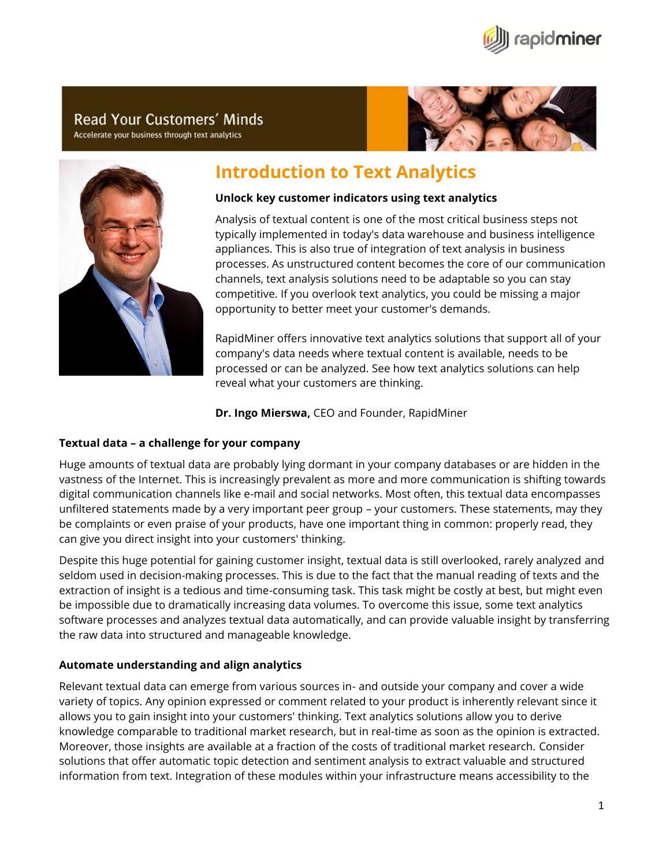

# **Read Your Customers' Minds**

Accelerate your business through text analytics





# **Introduction to Text Analytics**

## **Unlock key customer indicators using text analytics**

Analysis of textual content is one of the most critical business steps not typically implemented in today's data warehouse and business intelligence appliances. This is also true of integration of text analysis in business processes. As unstructured content becomes the core of our communication channels, text analysis solutions need to be adaptable so you can stay competitive. If you overlook text analytics, you could be missing a major opportunity to better meet your customer's demands.

RapidMiner offers innovative text analytics solutions that support all of your company's data needs where textual content is available, needs to be processed or can be analyzed. See how text analytics solutions can help reveal what your customers are thinking.

**Dr. Ingo Mierswa,** CEO and Founder, RapidMiner

# **Textual data – a challenge for your company**

Huge amounts of textual data are probably lying dormant in your company databases or are hidden in the vastness of the Internet. This is increasingly prevalent as more and more communication is shifting towards digital communication channels like e-mail and social networks. Most often, this textual data encompasses unfiltered statements made by a very important peer group – your customers. These statements, may they be complaints or even praise of your products, have one important thing in common: properly read, they can give you direct insight into your customers' thinking.

Despite this huge potential for gaining customer insight, textual data is still overlooked, rarely analyzed and seldom used in decision-making processes. This is due to the fact that the manual reading of texts and the extraction of insight is a tedious and time-consuming task. This task might be costly at best, but might even be impossible due to dramatically increasing data volumes. To overcome this issue, some text analytics software processes and analyzes textual data automatically, and can provide valuable insight by transferring the raw data into structured and manageable knowledge.

# **Automate understanding and align analytics**

Relevant textual data can emerge from various sources in- and outside your company and cover a wide variety of topics. Any opinion expressed or comment related to your product is inherently relevant since it allows you to gain insight into your customers' thinking. Text analytics solutions allow you to derive knowledge comparable to traditional market research, but in real-time as soon as the opinion is extracted. Moreover, those insights are available at a fraction of the costs of traditional market research. Consider solutions that offer automatic topic detection and sentiment analysis to extract valuable and structured information from text. Integration of these modules within your infrastructure means accessibility to the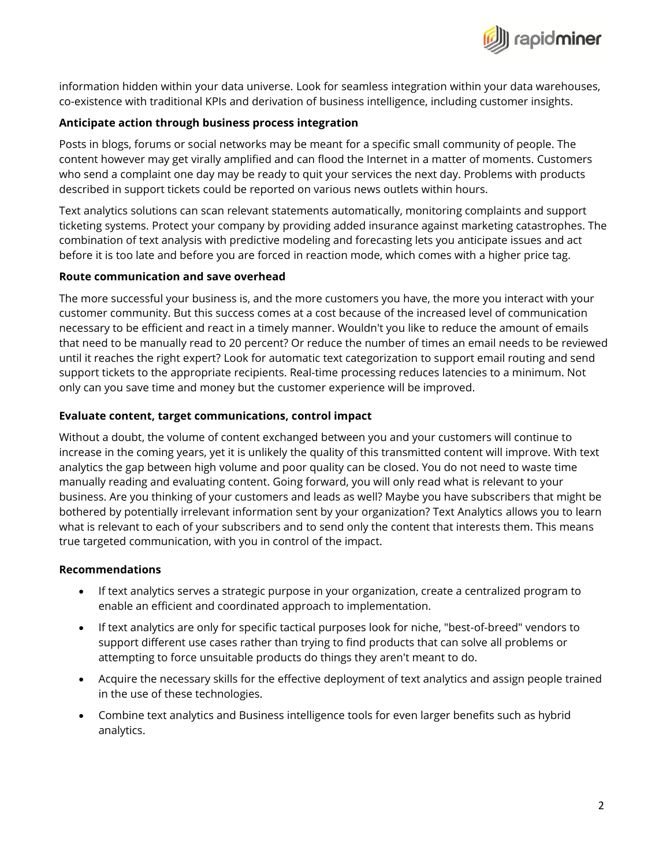

information hidden within your data universe. Look for seamless integration within your data warehouses, co-existence with traditional KPIs and derivation of business intelligence, including customer insights.

#### **Anticipate action through business process integration**

Posts in blogs, forums or social networks may be meant for a specific small community of people. The content however may get virally amplified and can flood the Internet in a matter of moments. Customers who send a complaint one day may be ready to quit your services the next day. Problems with products described in support tickets could be reported on various news outlets within hours.

Text analytics solutions can scan relevant statements automatically, monitoring complaints and support ticketing systems. Protect your company by providing added insurance against marketing catastrophes. The combination of text analysis with predictive modeling and forecasting lets you anticipate issues and act before it is too late and before you are forced in reaction mode, which comes with a higher price tag.

#### **Route communication and save overhead**

The more successful your business is, and the more customers you have, the more you interact with your customer community. But this success comes at a cost because of the increased level of communication necessary to be efficient and react in a timely manner. Wouldn't you like to reduce the amount of emails that need to be manually read to 20 percent? Or reduce the number of times an email needs to be reviewed until it reaches the right expert? Look for automatic text categorization to support email routing and send support tickets to the appropriate recipients. Real-time processing reduces latencies to a minimum. Not only can you save time and money but the customer experience will be improved.

#### **Evaluate content, target communications, control impact**

Without a doubt, the volume of content exchanged between you and your customers will continue to increase in the coming years, yet it is unlikely the quality of this transmitted content will improve. With text analytics the gap between high volume and poor quality can be closed. You do not need to waste time manually reading and evaluating content. Going forward, you will only read what is relevant to your business. Are you thinking of your customers and leads as well? Maybe you have subscribers that might be bothered by potentially irrelevant information sent by your organization? Text Analytics allows you to learn what is relevant to each of your subscribers and to send only the content that interests them. This means true targeted communication, with you in control of the impact.

#### **Recommendations**

- If text analytics serves a strategic purpose in your organization, create a centralized program to enable an efficient and coordinated approach to implementation.
- If text analytics are only for specific tactical purposes look for niche, "best-of-breed" vendors to support different use cases rather than trying to find products that can solve all problems or attempting to force unsuitable products do things they aren't meant to do.
- Acquire the necessary skills for the effective deployment of text analytics and assign people trained in the use of these technologies.
- Combine text analytics and Business intelligence tools for even larger benefits such as hybrid analytics.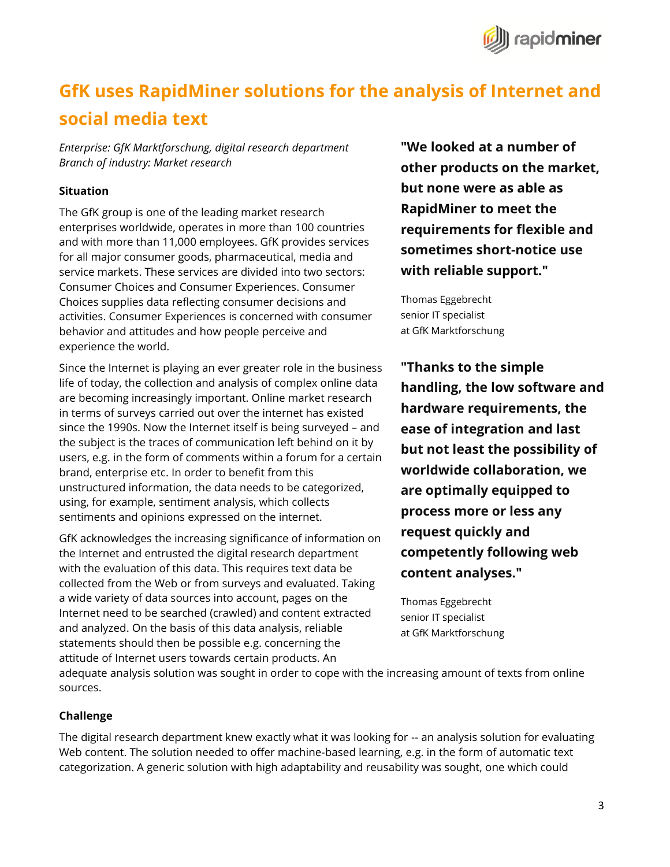

# **GfK uses RapidMiner solutions for the analysis of Internet and social media text**

*Enterprise: GfK Marktforschung, digital research department Branch of industry: Market research*

#### **Situation**

The GfK group is one of the leading market research enterprises worldwide, operates in more than 100 countries and with more than 11,000 employees. GfK provides services for all major consumer goods, pharmaceutical, media and service markets. These services are divided into two sectors: Consumer Choices and Consumer Experiences. Consumer Choices supplies data reflecting consumer decisions and activities. Consumer Experiences is concerned with consumer behavior and attitudes and how people perceive and experience the world.

Since the Internet is playing an ever greater role in the business life of today, the collection and analysis of complex online data are becoming increasingly important. Online market research in terms of surveys carried out over the internet has existed since the 1990s. Now the Internet itself is being surveyed – and the subject is the traces of communication left behind on it by users, e.g. in the form of comments within a forum for a certain brand, enterprise etc. In order to benefit from this unstructured information, the data needs to be categorized, using, for example, sentiment analysis, which collects sentiments and opinions expressed on the internet.

GfK acknowledges the increasing significance of information on the Internet and entrusted the digital research department with the evaluation of this data. This requires text data be collected from the Web or from surveys and evaluated. Taking a wide variety of data sources into account, pages on the Internet need to be searched (crawled) and content extracted and analyzed. On the basis of this data analysis, reliable statements should then be possible e.g. concerning the attitude of Internet users towards certain products. An

**"We looked at a number of other products on the market, but none were as able as RapidMiner to meet the requirements for flexible and sometimes short-notice use with reliable support."**

Thomas Eggebrecht senior IT specialist at GfK Marktforschung

**"Thanks to the simple handling, the low software and hardware requirements, the ease of integration and last but not least the possibility of worldwide collaboration, we are optimally equipped to process more or less any request quickly and competently following web content analyses."**

Thomas Eggebrecht senior IT specialist at GfK Marktforschung

adequate analysis solution was sought in order to cope with the increasing amount of texts from online sources.

#### **Challenge**

The digital research department knew exactly what it was looking for -- an analysis solution for evaluating Web content. The solution needed to offer machine-based learning, e.g. in the form of automatic text categorization. A generic solution with high adaptability and reusability was sought, one which could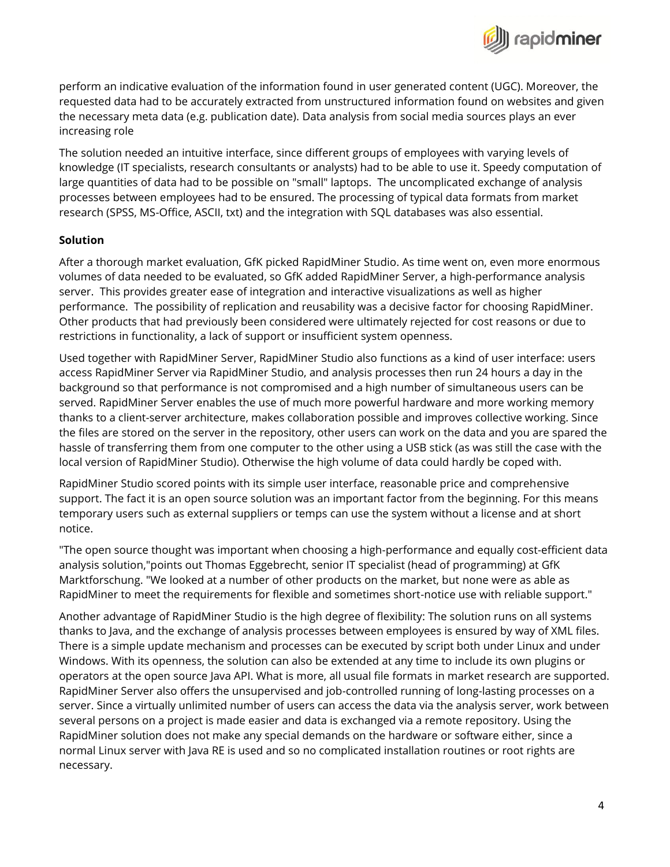

perform an indicative evaluation of the information found in user generated content (UGC). Moreover, the requested data had to be accurately extracted from unstructured information found on websites and given the necessary meta data (e.g. publication date). Data analysis from social media sources plays an ever increasing role

The solution needed an intuitive interface, since different groups of employees with varying levels of knowledge (IT specialists, research consultants or analysts) had to be able to use it. Speedy computation of large quantities of data had to be possible on "small" laptops. The uncomplicated exchange of analysis processes between employees had to be ensured. The processing of typical data formats from market research (SPSS, MS-Office, ASCII, txt) and the integration with SQL databases was also essential.

## **Solution**

After a thorough market evaluation, GfK picked RapidMiner Studio. As time went on, even more enormous volumes of data needed to be evaluated, so GfK added RapidMiner Server, a high-performance analysis server. This provides greater ease of integration and interactive visualizations as well as higher performance. The possibility of replication and reusability was a decisive factor for choosing RapidMiner. Other products that had previously been considered were ultimately rejected for cost reasons or due to restrictions in functionality, a lack of support or insufficient system openness.

Used together with RapidMiner Server, RapidMiner Studio also functions as a kind of user interface: users access RapidMiner Server via RapidMiner Studio, and analysis processes then run 24 hours a day in the background so that performance is not compromised and a high number of simultaneous users can be served. RapidMiner Server enables the use of much more powerful hardware and more working memory thanks to a client-server architecture, makes collaboration possible and improves collective working. Since the files are stored on the server in the repository, other users can work on the data and you are spared the hassle of transferring them from one computer to the other using a USB stick (as was still the case with the local version of RapidMiner Studio). Otherwise the high volume of data could hardly be coped with.

RapidMiner Studio scored points with its simple user interface, reasonable price and comprehensive support. The fact it is an open source solution was an important factor from the beginning. For this means temporary users such as external suppliers or temps can use the system without a license and at short notice.

"The open source thought was important when choosing a high-performance and equally cost-efficient data analysis solution,"points out Thomas Eggebrecht, senior IT specialist (head of programming) at GfK Marktforschung. "We looked at a number of other products on the market, but none were as able as RapidMiner to meet the requirements for flexible and sometimes short-notice use with reliable support."

Another advantage of RapidMiner Studio is the high degree of flexibility: The solution runs on all systems thanks to Java, and the exchange of analysis processes between employees is ensured by way of XML files. There is a simple update mechanism and processes can be executed by script both under Linux and under Windows. With its openness, the solution can also be extended at any time to include its own plugins or operators at the open source Java API. What is more, all usual file formats in market research are supported. RapidMiner Server also offers the unsupervised and job-controlled running of long-lasting processes on a server. Since a virtually unlimited number of users can access the data via the analysis server, work between several persons on a project is made easier and data is exchanged via a remote repository. Using the RapidMiner solution does not make any special demands on the hardware or software either, since a normal Linux server with Java RE is used and so no complicated installation routines or root rights are necessary.